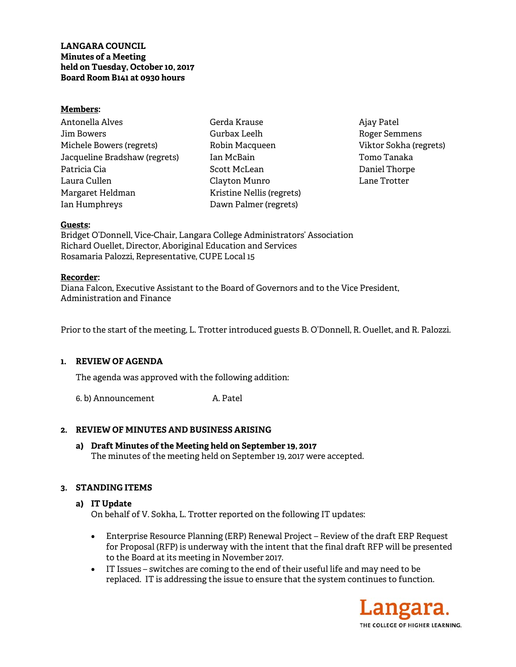**LANGARA COUNCIL Minutes of a Meeting held on Tuesday, October 10, 2017 Board Room B141 at 0930 hours** 

#### **Members:**

Antonella Alves Jim Bowers Michele Bowers (regrets) Jacqueline Bradshaw (regrets) Patricia Cia Laura Cullen Margaret Heldman Ian Humphreys

Gerda Krause Gurbax Leelh Robin Macqueen Ian McBain Scott McLean Clayton Munro Kristine Nellis (regrets) Dawn Palmer (regrets)

Ajay Patel Roger Semmens Viktor Sokha (regrets) Tomo Tanaka Daniel Thorpe Lane Trotter

#### **Guests:**

Bridget O'Donnell, Vice-Chair, Langara College Administrators' Association Richard Ouellet, Director, Aboriginal Education and Services Rosamaria Palozzi, Representative, CUPE Local 15

#### **Recorder:**

Diana Falcon, Executive Assistant to the Board of Governors and to the Vice President, Administration and Finance

Prior to the start of the meeting, L. Trotter introduced guests B. O'Donnell, R. Ouellet, and R. Palozzi.

## **1. REVIEW OF AGENDA**

The agenda was approved with the following addition:

6. b) Announcement A. Patel

## **2. REVIEW OF MINUTES AND BUSINESS ARISING**

**a) Draft Minutes of the Meeting held on September 19, 2017**  The minutes of the meeting held on September 19, 2017 were accepted.

## **3. STANDING ITEMS**

## **a) IT Update**

On behalf of V. Sokha, L. Trotter reported on the following IT updates:

- Enterprise Resource Planning (ERP) Renewal Project Review of the draft ERP Request for Proposal (RFP) is underway with the intent that the final draft RFP will be presented to the Board at its meeting in November 2017.
- IT Issues switches are coming to the end of their useful life and may need to be replaced. IT is addressing the issue to ensure that the system continues to function.